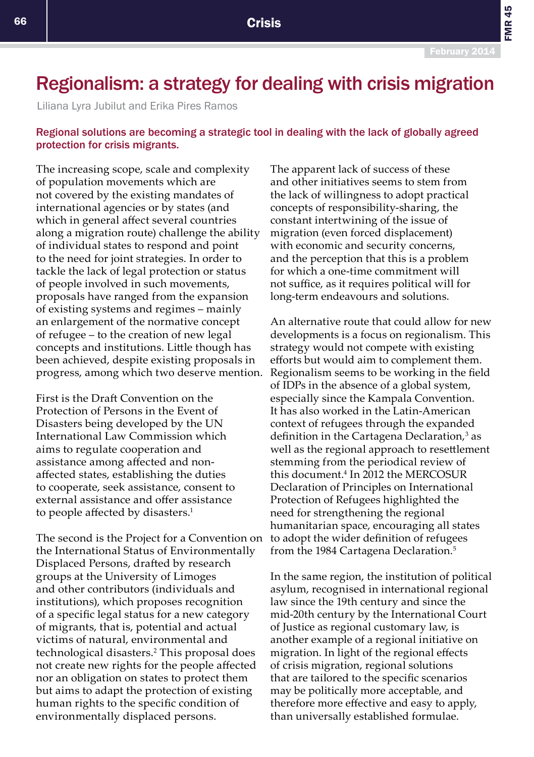## Regionalism: a strategy for dealing with crisis migration

Liliana Lyra Jubilut and Erika Pires Ramos

## Regional solutions are becoming a strategic tool in dealing with the lack of globally agreed protection for crisis migrants.

The increasing scope, scale and complexity of population movements which are not covered by the existing mandates of international agencies or by states (and which in general affect several countries along a migration route) challenge the ability of individual states to respond and point to the need for joint strategies. In order to tackle the lack of legal protection or status of people involved in such movements, proposals have ranged from the expansion of existing systems and regimes – mainly an enlargement of the normative concept of refugee – to the creation of new legal concepts and institutions. Little though has been achieved, despite existing proposals in progress, among which two deserve mention.

First is the Draft Convention on the Protection of Persons in the Event of Disasters being developed by the UN International Law Commission which aims to regulate cooperation and assistance among affected and nonaffected states, establishing the duties to cooperate, seek assistance, consent to external assistance and offer assistance to people affected by disasters.<sup>1</sup>

The second is the Project for a Convention on the International Status of Environmentally Displaced Persons, drafted by research groups at the University of Limoges and other contributors (individuals and institutions), which proposes recognition of a specific legal status for a new category of migrants, that is, potential and actual victims of natural, environmental and technological disasters.<sup>2</sup> This proposal does not create new rights for the people affected nor an obligation on states to protect them but aims to adapt the protection of existing human rights to the specific condition of environmentally displaced persons.

The apparent lack of success of these and other initiatives seems to stem from the lack of willingness to adopt practical concepts of responsibility-sharing, the constant intertwining of the issue of migration (even forced displacement) with economic and security concerns, and the perception that this is a problem for which a one-time commitment will not suffice, as it requires political will for long-term endeavours and solutions.

An alternative route that could allow for new developments is a focus on regionalism. This strategy would not compete with existing efforts but would aim to complement them. Regionalism seems to be working in the field of IDPs in the absence of a global system, especially since the Kampala Convention. It has also worked in the Latin-American context of refugees through the expanded definition in the Cartagena Declaration,<sup>3</sup> as well as the regional approach to resettlement stemming from the periodical review of this document.4 In 2012 the MERCOSUR Declaration of Principles on International Protection of Refugees highlighted the need for strengthening the regional humanitarian space, encouraging all states to adopt the wider definition of refugees from the 1984 Cartagena Declaration.<sup>5</sup>

In the same region, the institution of political asylum, recognised in international regional law since the 19th century and since the mid-20th century by the International Court of Justice as regional customary law, is another example of a regional initiative on migration. In light of the regional effects of crisis migration, regional solutions that are tailored to the specific scenarios may be politically more acceptable, and therefore more effective and easy to apply, than universally established formulae.